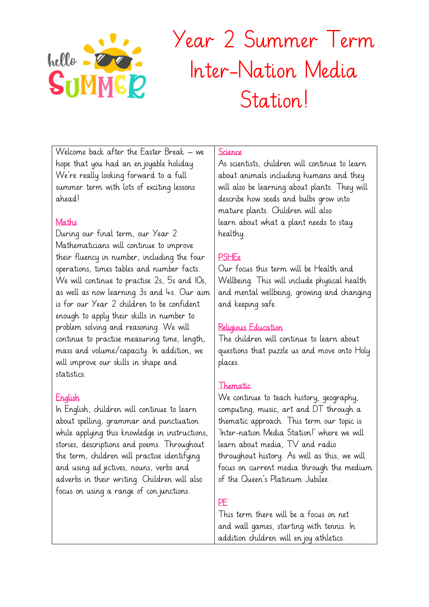

# Year 2 Summer Term Inter-Nation Media Station!

Welcome back after the Easter Break – we hope that you had an enjoyable holiday. We're really looking forward to a full summer term with lots of exciting lessons ahead!

#### Maths

During our final term, our Year 2 Mathematicians will continue to improve their fluency in number, including the four operations, times tables and number facts. We will continue to practise 2s, 5s and 10s, as well as now learning 3s and 4s. Our aim is for our Year 2 children to be confident enough to apply their skills in number to problem solving and reasoning. We will continue to practise measuring time, length, mass and volume/capacity. In addition, we will improve our skills in shape and statistics.

### English

In English, children will continue to learn about spelling, grammar and punctuation while applying this knowledge in instructions, stories, descriptions and poems. Throughout the term, children will practise identifying and using ad jectives, nouns, verbs and adverbs in their writing. Children will also focus on using a range of conjunctions.

#### **Science**

As scientists, children will continue to learn about animals including humans and they will also be learning about plants. They will describe how seeds and bulbs grow into mature plants. Children will also learn about what a plant needs to stay healthy.

# **PSHEe**

Our focus this term will be Health and Wellbeing. This will include physical health and mental wellbeing, growing and changing and keeping safe.

# Religious Education

The children will continue to learn about questions that puzzle us and move onto Holy places.

### Thematic

We continue to teach history, geography, computing, music, art and DT through a thematic approach. This term our topic is 'Inter-nation Media Station!' where we will learn about media, TV and radio throughout history. As well as this, we will focus on current media through the medium of the Queen's Platinum Jubilee.

# **PF**

This term there will be a focus on net and wall games, starting with tennis. In addition children will enjoy athletics.